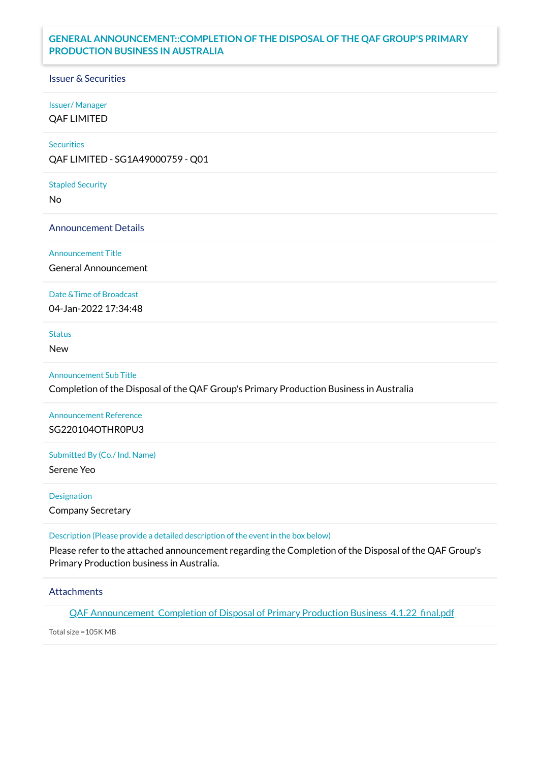# **GENERAL ANNOUNCEMENT::COMPLETION OF THE DISPOSAL OF THE QAF GROUP'S PRIMARY PRODUCTION BUSINESS IN AUSTRALIA**

## Issuer & Securities

## Issuer/ Manager

QAF LIMITED

## **Securities**

QAF LIMITED - SG1A49000759 - Q01

#### Stapled Security

No

#### Announcement Details

Announcement Title

General Announcement

## Date &Time of Broadcast

04-Jan-2022 17:34:48

# Status

New

## Announcement Sub Title

Completion of the Disposal of the QAF Group's Primary Production Business in Australia

# Announcement Reference SG220104OTHR0PU3

#### Submitted By (Co./ Ind. Name)

Serene Yeo

#### Designation

Company Secretary

#### Description (Please provide a detailed description of the event in the box below)

Please refer to the attached announcement regarding the Completion of the Disposal of the QAF Group's Primary Production business in Australia.

## **Attachments**

QAF [Announcement\\_Completion](https://links.sgx.com/1.0.0/corporate-announcements/2GEWF5TN91M1MART/696610_QAF%20Announcement_Completion%20of%20Disposal%20of%20Primary%20Production%20Business_4.1.22_final.pdf) of Disposal of Primary Production Business\_4.1.22\_final.pdf

Total size =105K MB